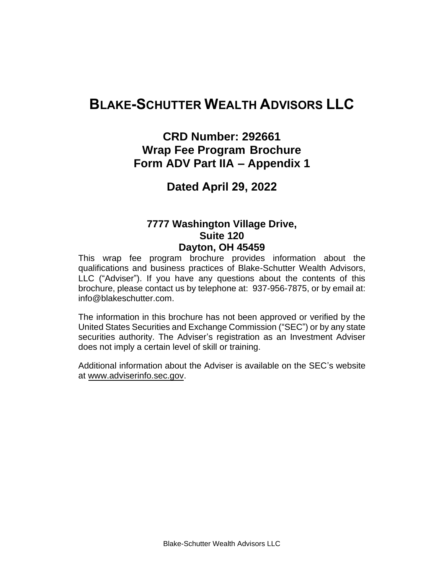# **BLAKE-SCHUTTER WEALTH ADVISORS LLC**

## **CRD Number: 292661 Wrap Fee Program Brochure Form ADV Part IIA – Appendix 1**

## **Dated April 29, 2022**

### **7777 Washington Village Drive, Suite 120 Dayton, OH 45459**

This wrap fee program brochure provides information about the qualifications and business practices of Blake-Schutter Wealth Advisors, LLC ("Adviser"). If you have any questions about the contents of this brochure, please contact us by telephone at: 937-956-7875, or by email at: info@blakeschutter.com.

The information in this brochure has not been approved or verified by the United States Securities and Exchange Commission ("SEC") or by any state securities authority. The Adviser's registration as an Investment Adviser does not imply a certain level of skill or training.

Additional information about the Adviser is available on the SEC's website at www.adviserinfo.sec.gov.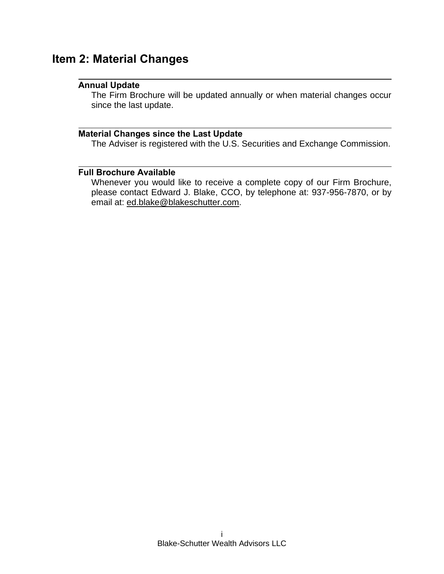## **Item 2: Material Changes**

#### **Annual Update**

The Firm Brochure will be updated annually or when material changes occur since the last update.

### **Material Changes since the Last Update**

The Adviser is registered with the U.S. Securities and Exchange Commission.

### **Full Brochure Available**

Whenever you would like to receive a complete copy of our Firm Brochure, please contact Edward J. Blake, CCO, by telephone at: 937-956-7870, or by email at: ed.blake@blakeschutter.com.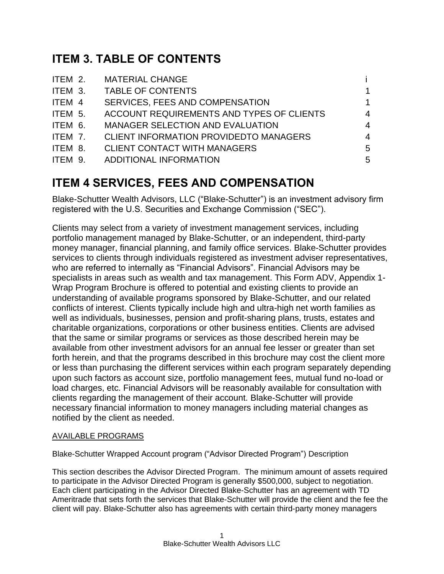# **ITEM 3. TABLE OF CONTENTS**

|         | ITEM 2. MATERIAL CHANGE                   |                |
|---------|-------------------------------------------|----------------|
| ITEM 3. | <b>TABLE OF CONTENTS</b>                  |                |
| ITEM 4  | SERVICES, FEES AND COMPENSATION           | 1              |
| ITEM 5. | ACCOUNT REQUIREMENTS AND TYPES OF CLIENTS | 4              |
| ITEM 6. | MANAGER SELECTION AND EVALUATION          | 4              |
| ITEM 7. | CLIENT INFORMATION PROVIDEDTO MANAGERS    | $\overline{4}$ |
| ITEM 8. | <b>CLIENT CONTACT WITH MANAGERS</b>       | 5              |
| ITEM 9. | ADDITIONAL INFORMATION                    | 5              |
|         |                                           |                |

# **ITEM 4 SERVICES, FEES AND COMPENSATION**

Blake-Schutter Wealth Advisors, LLC ("Blake-Schutter") is an investment advisory firm registered with the U.S. Securities and Exchange Commission ("SEC").

Clients may select from a variety of investment management services, including portfolio management managed by Blake-Schutter, or an independent, third-party money manager, financial planning, and family office services. Blake-Schutter provides services to clients through individuals registered as investment adviser representatives, who are referred to internally as "Financial Advisors". Financial Advisors may be specialists in areas such as wealth and tax management. This Form ADV, Appendix 1- Wrap Program Brochure is offered to potential and existing clients to provide an understanding of available programs sponsored by Blake-Schutter, and our related conflicts of interest. Clients typically include high and ultra-high net worth families as well as individuals, businesses, pension and profit-sharing plans, trusts, estates and charitable organizations, corporations or other business entities. Clients are advised that the same or similar programs or services as those described herein may be available from other investment advisors for an annual fee lesser or greater than set forth herein, and that the programs described in this brochure may cost the client more or less than purchasing the different services within each program separately depending upon such factors as account size, portfolio management fees, mutual fund no-load or load charges, etc. Financial Advisors will be reasonably available for consultation with clients regarding the management of their account. Blake-Schutter will provide necessary financial information to money managers including material changes as notified by the client as needed.

### AVAILABLE PROGRAMS

Blake-Schutter Wrapped Account program ("Advisor Directed Program") Description

This section describes the Advisor Directed Program. The minimum amount of assets required to participate in the Advisor Directed Program is generally \$500,000, subject to negotiation. Each client participating in the Advisor Directed Blake-Schutter has an agreement with TD Ameritrade that sets forth the services that Blake-Schutter will provide the client and the fee the client will pay. Blake-Schutter also has agreements with certain third-party money managers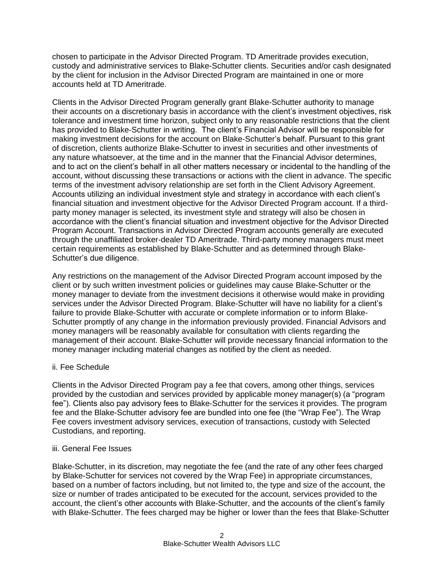chosen to participate in the Advisor Directed Program. TD Ameritrade provides execution, custody and administrative services to Blake-Schutter clients. Securities and/or cash designated by the client for inclusion in the Advisor Directed Program are maintained in one or more accounts held at TD Ameritrade.

Clients in the Advisor Directed Program generally grant Blake-Schutter authority to manage their accounts on a discretionary basis in accordance with the client's investment objectives, risk tolerance and investment time horizon, subject only to any reasonable restrictions that the client has provided to Blake-Schutter in writing. The client's Financial Advisor will be responsible for making investment decisions for the account on Blake-Schutter's behalf. Pursuant to this grant of discretion, clients authorize Blake-Schutter to invest in securities and other investments of any nature whatsoever, at the time and in the manner that the Financial Advisor determines, and to act on the client's behalf in all other matters necessary or incidental to the handling of the account, without discussing these transactions or actions with the client in advance. The specific terms of the investment advisory relationship are set forth in the Client Advisory Agreement. Accounts utilizing an individual investment style and strategy in accordance with each client's financial situation and investment objective for the Advisor Directed Program account. If a thirdparty money manager is selected, its investment style and strategy will also be chosen in accordance with the client's financial situation and investment objective for the Advisor Directed Program Account. Transactions in Advisor Directed Program accounts generally are executed through the unaffiliated broker-dealer TD Ameritrade. Third-party money managers must meet certain requirements as established by Blake-Schutter and as determined through Blake-Schutter's due diligence.

Any restrictions on the management of the Advisor Directed Program account imposed by the client or by such written investment policies or guidelines may cause Blake-Schutter or the money manager to deviate from the investment decisions it otherwise would make in providing services under the Advisor Directed Program. Blake-Schutter will have no liability for a client's failure to provide Blake-Schutter with accurate or complete information or to inform Blake-Schutter promptly of any change in the information previously provided. Financial Advisors and money managers will be reasonably available for consultation with clients regarding the management of their account. Blake-Schutter will provide necessary financial information to the money manager including material changes as notified by the client as needed.

#### ii. Fee Schedule

Clients in the Advisor Directed Program pay a fee that covers, among other things, services provided by the custodian and services provided by applicable money manager(s) (a "program fee"). Clients also pay advisory fees to Blake-Schutter for the services it provides. The program fee and the Blake-Schutter advisory fee are bundled into one fee (the "Wrap Fee"). The Wrap Fee covers investment advisory services, execution of transactions, custody with Selected Custodians, and reporting.

#### iii. General Fee Issues

Blake-Schutter, in its discretion, may negotiate the fee (and the rate of any other fees charged by Blake-Schutter for services not covered by the Wrap Fee) in appropriate circumstances, based on a number of factors including, but not limited to, the type and size of the account, the size or number of trades anticipated to be executed for the account, services provided to the account, the client's other accounts with Blake-Schutter, and the accounts of the client's family with Blake-Schutter. The fees charged may be higher or lower than the fees that Blake-Schutter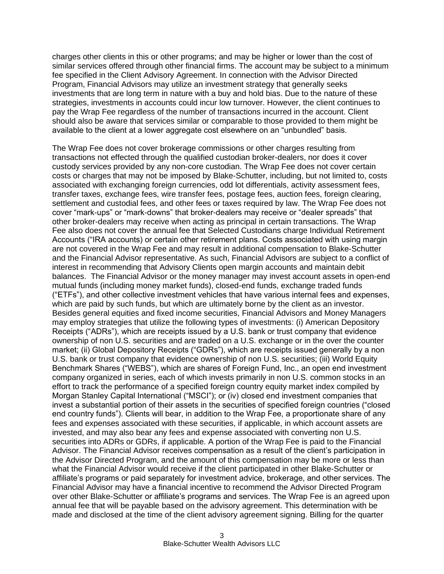charges other clients in this or other programs; and may be higher or lower than the cost of similar services offered through other financial firms. The account may be subject to a minimum fee specified in the Client Advisory Agreement. In connection with the Advisor Directed Program, Financial Advisors may utilize an investment strategy that generally seeks investments that are long term in nature with a buy and hold bias. Due to the nature of these strategies, investments in accounts could incur low turnover. However, the client continues to pay the Wrap Fee regardless of the number of transactions incurred in the account. Client should also be aware that services similar or comparable to those provided to them might be available to the client at a lower aggregate cost elsewhere on an "unbundled" basis.

The Wrap Fee does not cover brokerage commissions or other charges resulting from transactions not effected through the qualified custodian broker-dealers, nor does it cover custody services provided by any non-core custodian. The Wrap Fee does not cover certain costs or charges that may not be imposed by Blake-Schutter, including, but not limited to, costs associated with exchanging foreign currencies, odd lot differentials, activity assessment fees, transfer taxes, exchange fees, wire transfer fees, postage fees, auction fees, foreign clearing, settlement and custodial fees, and other fees or taxes required by law. The Wrap Fee does not cover "mark-ups" or "mark-downs" that broker-dealers may receive or "dealer spreads" that other broker-dealers may receive when acting as principal in certain transactions. The Wrap Fee also does not cover the annual fee that Selected Custodians charge Individual Retirement Accounts ("IRA accounts) or certain other retirement plans. Costs associated with using margin are not covered in the Wrap Fee and may result in additional compensation to Blake-Schutter and the Financial Advisor representative. As such, Financial Advisors are subject to a conflict of interest in recommending that Advisory Clients open margin accounts and maintain debit balances. The Financial Advisor or the money manager may invest account assets in open-end mutual funds (including money market funds), closed-end funds, exchange traded funds ("ETFs"), and other collective investment vehicles that have various internal fees and expenses, which are paid by such funds, but which are ultimately borne by the client as an investor. Besides general equities and fixed income securities, Financial Advisors and Money Managers may employ strategies that utilize the following types of investments: (i) American Depository Receipts ("ADRs"), which are receipts issued by a U.S. bank or trust company that evidence ownership of non U.S. securities and are traded on a U.S. exchange or in the over the counter market; (ii) Global Depository Receipts ("GDRs"), which are receipts issued generally by a non U.S. bank or trust company that evidence ownership of non U.S. securities; (iii) World Equity Benchmark Shares ("WEBS"), which are shares of Foreign Fund, Inc., an open end investment company organized in series, each of which invests primarily in non U.S. common stocks in an effort to track the performance of a specified foreign country equity market index compiled by Morgan Stanley Capital International ("MSCI"); or (iv) closed end investment companies that invest a substantial portion of their assets in the securities of specified foreign countries ("closed end country funds"). Clients will bear, in addition to the Wrap Fee, a proportionate share of any fees and expenses associated with these securities, if applicable, in which account assets are invested, and may also bear any fees and expense associated with converting non U.S. securities into ADRs or GDRs, if applicable. A portion of the Wrap Fee is paid to the Financial Advisor. The Financial Advisor receives compensation as a result of the client's participation in the Advisor Directed Program, and the amount of this compensation may be more or less than what the Financial Advisor would receive if the client participated in other Blake-Schutter or affiliate's programs or paid separately for investment advice, brokerage, and other services. The Financial Advisor may have a financial incentive to recommend the Advisor Directed Program over other Blake-Schutter or affiliate's programs and services. The Wrap Fee is an agreed upon annual fee that will be payable based on the advisory agreement. This determination with be made and disclosed at the time of the client advisory agreement signing. Billing for the quarter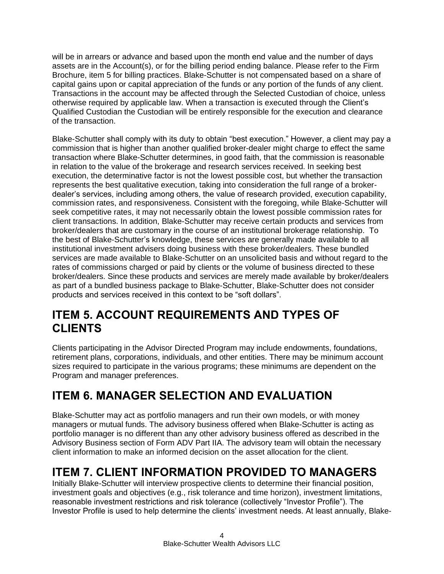will be in arrears or advance and based upon the month end value and the number of days assets are in the Account(s), or for the billing period ending balance. Please refer to the Firm Brochure, item 5 for billing practices. Blake-Schutter is not compensated based on a share of capital gains upon or capital appreciation of the funds or any portion of the funds of any client. Transactions in the account may be affected through the Selected Custodian of choice, unless otherwise required by applicable law. When a transaction is executed through the Client's Qualified Custodian the Custodian will be entirely responsible for the execution and clearance of the transaction.

Blake-Schutter shall comply with its duty to obtain "best execution." However, a client may pay a commission that is higher than another qualified broker-dealer might charge to effect the same transaction where Blake-Schutter determines, in good faith, that the commission is reasonable in relation to the value of the brokerage and research services received. In seeking best execution, the determinative factor is not the lowest possible cost, but whether the transaction represents the best qualitative execution, taking into consideration the full range of a brokerdealer's services, including among others, the value of research provided, execution capability, commission rates, and responsiveness. Consistent with the foregoing, while Blake-Schutter will seek competitive rates, it may not necessarily obtain the lowest possible commission rates for client transactions. In addition, Blake-Schutter may receive certain products and services from broker/dealers that are customary in the course of an institutional brokerage relationship. To the best of Blake-Schutter's knowledge, these services are generally made available to all institutional investment advisers doing business with these broker/dealers. These bundled services are made available to Blake-Schutter on an unsolicited basis and without regard to the rates of commissions charged or paid by clients or the volume of business directed to these broker/dealers. Since these products and services are merely made available by broker/dealers as part of a bundled business package to Blake-Schutter, Blake-Schutter does not consider products and services received in this context to be "soft dollars".

## **ITEM 5. ACCOUNT REQUIREMENTS AND TYPES OF CLIENTS**

Clients participating in the Advisor Directed Program may include endowments, foundations, retirement plans, corporations, individuals, and other entities. There may be minimum account sizes required to participate in the various programs; these minimums are dependent on the Program and manager preferences.

# **ITEM 6. MANAGER SELECTION AND EVALUATION**

Blake-Schutter may act as portfolio managers and run their own models, or with money managers or mutual funds. The advisory business offered when Blake-Schutter is acting as portfolio manager is no different than any other advisory business offered as described in the Advisory Business section of Form ADV Part IIA. The advisory team will obtain the necessary client information to make an informed decision on the asset allocation for the client.

# **ITEM 7. CLIENT INFORMATION PROVIDED TO MANAGERS**

Initially Blake-Schutter will interview prospective clients to determine their financial position, investment goals and objectives (e.g., risk tolerance and time horizon), investment limitations, reasonable investment restrictions and risk tolerance (collectively "Investor Profile"). The Investor Profile is used to help determine the clients' investment needs. At least annually, Blake-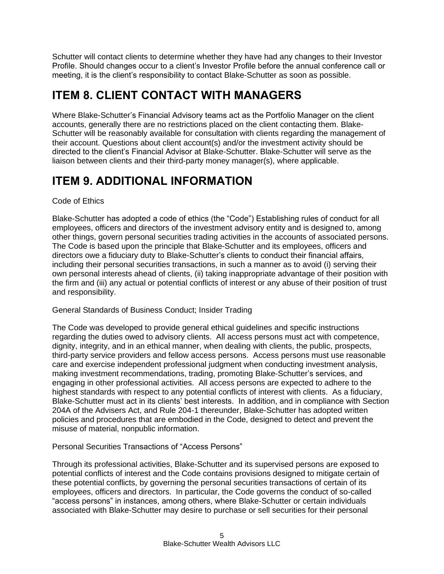Schutter will contact clients to determine whether they have had any changes to their Investor Profile. Should changes occur to a client's Investor Profile before the annual conference call or meeting, it is the client's responsibility to contact Blake-Schutter as soon as possible.

# **ITEM 8. CLIENT CONTACT WITH MANAGERS**

Where Blake-Schutter's Financial Advisory teams act as the Portfolio Manager on the client accounts, generally there are no restrictions placed on the client contacting them. Blake-Schutter will be reasonably available for consultation with clients regarding the management of their account. Questions about client account(s) and/or the investment activity should be directed to the client's Financial Advisor at Blake-Schutter. Blake-Schutter will serve as the liaison between clients and their third-party money manager(s), where applicable.

# **ITEM 9. ADDITIONAL INFORMATION**

Code of Ethics

Blake-Schutter has adopted a code of ethics (the "Code") Establishing rules of conduct for all employees, officers and directors of the investment advisory entity and is designed to, among other things, govern personal securities trading activities in the accounts of associated persons. The Code is based upon the principle that Blake-Schutter and its employees, officers and directors owe a fiduciary duty to Blake-Schutter's clients to conduct their financial affairs, including their personal securities transactions, in such a manner as to avoid (i) serving their own personal interests ahead of clients, (ii) taking inappropriate advantage of their position with the firm and (iii) any actual or potential conflicts of interest or any abuse of their position of trust and responsibility.

General Standards of Business Conduct; Insider Trading

The Code was developed to provide general ethical guidelines and specific instructions regarding the duties owed to advisory clients. All access persons must act with competence, dignity, integrity, and in an ethical manner, when dealing with clients, the public, prospects, third-party service providers and fellow access persons. Access persons must use reasonable care and exercise independent professional judgment when conducting investment analysis, making investment recommendations, trading, promoting Blake-Schutter's services, and engaging in other professional activities. All access persons are expected to adhere to the highest standards with respect to any potential conflicts of interest with clients. As a fiduciary, Blake-Schutter must act in its clients' best interests. In addition, and in compliance with Section 204A of the Advisers Act, and Rule 204-1 thereunder, Blake-Schutter has adopted written policies and procedures that are embodied in the Code, designed to detect and prevent the misuse of material, nonpublic information.

Personal Securities Transactions of "Access Persons"

Through its professional activities, Blake-Schutter and its supervised persons are exposed to potential conflicts of interest and the Code contains provisions designed to mitigate certain of these potential conflicts, by governing the personal securities transactions of certain of its employees, officers and directors. In particular, the Code governs the conduct of so-called "access persons" in instances, among others, where Blake-Schutter or certain individuals associated with Blake-Schutter may desire to purchase or sell securities for their personal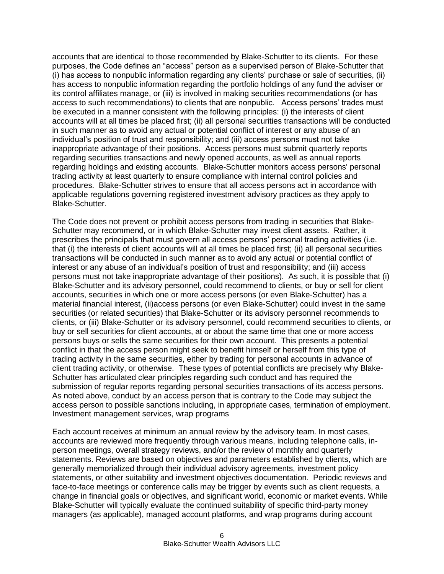accounts that are identical to those recommended by Blake-Schutter to its clients. For these purposes, the Code defines an "access" person as a supervised person of Blake-Schutter that (i) has access to nonpublic information regarding any clients' purchase or sale of securities, (ii) has access to nonpublic information regarding the portfolio holdings of any fund the adviser or its control affiliates manage, or (iii) is involved in making securities recommendations (or has access to such recommendations) to clients that are nonpublic. Access persons' trades must be executed in a manner consistent with the following principles: (i) the interests of client accounts will at all times be placed first; (ii) all personal securities transactions will be conducted in such manner as to avoid any actual or potential conflict of interest or any abuse of an individual's position of trust and responsibility; and (iii) access persons must not take inappropriate advantage of their positions. Access persons must submit quarterly reports regarding securities transactions and newly opened accounts, as well as annual reports regarding holdings and existing accounts. Blake-Schutter monitors access persons' personal trading activity at least quarterly to ensure compliance with internal control policies and procedures. Blake-Schutter strives to ensure that all access persons act in accordance with applicable regulations governing registered investment advisory practices as they apply to Blake-Schutter.

The Code does not prevent or prohibit access persons from trading in securities that Blake-Schutter may recommend, or in which Blake-Schutter may invest client assets. Rather, it prescribes the principals that must govern all access persons' personal trading activities (i.e. that (i) the interests of client accounts will at all times be placed first; (ii) all personal securities transactions will be conducted in such manner as to avoid any actual or potential conflict of interest or any abuse of an individual's position of trust and responsibility; and (iii) access persons must not take inappropriate advantage of their positions). As such, it is possible that (i) Blake-Schutter and its advisory personnel, could recommend to clients, or buy or sell for client accounts, securities in which one or more access persons (or even Blake-Schutter) has a material financial interest, (ii)access persons (or even Blake-Schutter) could invest in the same securities (or related securities) that Blake-Schutter or its advisory personnel recommends to clients, or (iii) Blake-Schutter or its advisory personnel, could recommend securities to clients, or buy or sell securities for client accounts, at or about the same time that one or more access persons buys or sells the same securities for their own account. This presents a potential conflict in that the access person might seek to benefit himself or herself from this type of trading activity in the same securities, either by trading for personal accounts in advance of client trading activity, or otherwise. These types of potential conflicts are precisely why Blake-Schutter has articulated clear principles regarding such conduct and has required the submission of regular reports regarding personal securities transactions of its access persons. As noted above, conduct by an access person that is contrary to the Code may subject the access person to possible sanctions including, in appropriate cases, termination of employment. Investment management services, wrap programs

Each account receives at minimum an annual review by the advisory team. In most cases, accounts are reviewed more frequently through various means, including telephone calls, inperson meetings, overall strategy reviews, and/or the review of monthly and quarterly statements. Reviews are based on objectives and parameters established by clients, which are generally memorialized through their individual advisory agreements, investment policy statements, or other suitability and investment objectives documentation. Periodic reviews and face-to-face meetings or conference calls may be trigger by events such as client requests, a change in financial goals or objectives, and significant world, economic or market events. While Blake-Schutter will typically evaluate the continued suitability of specific third-party money managers (as applicable), managed account platforms, and wrap programs during account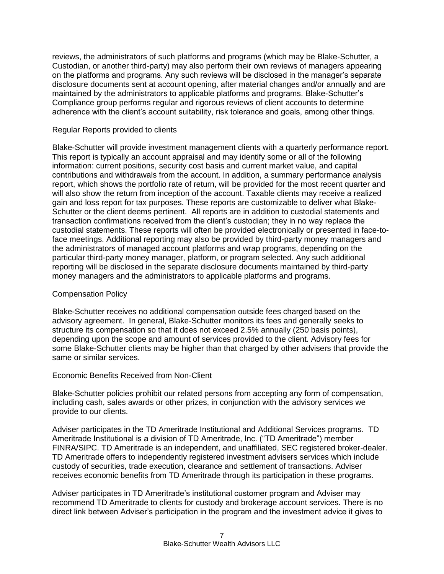reviews, the administrators of such platforms and programs (which may be Blake-Schutter, a Custodian, or another third-party) may also perform their own reviews of managers appearing on the platforms and programs. Any such reviews will be disclosed in the manager's separate disclosure documents sent at account opening, after material changes and/or annually and are maintained by the administrators to applicable platforms and programs. Blake-Schutter's Compliance group performs regular and rigorous reviews of client accounts to determine adherence with the client's account suitability, risk tolerance and goals, among other things.

#### Regular Reports provided to clients

Blake-Schutter will provide investment management clients with a quarterly performance report. This report is typically an account appraisal and may identify some or all of the following information: current positions, security cost basis and current market value, and capital contributions and withdrawals from the account. In addition, a summary performance analysis report, which shows the portfolio rate of return, will be provided for the most recent quarter and will also show the return from inception of the account. Taxable clients may receive a realized gain and loss report for tax purposes. These reports are customizable to deliver what Blake-Schutter or the client deems pertinent. All reports are in addition to custodial statements and transaction confirmations received from the client's custodian; they in no way replace the custodial statements. These reports will often be provided electronically or presented in face-toface meetings. Additional reporting may also be provided by third-party money managers and the administrators of managed account platforms and wrap programs, depending on the particular third-party money manager, platform, or program selected. Any such additional reporting will be disclosed in the separate disclosure documents maintained by third-party money managers and the administrators to applicable platforms and programs.

#### Compensation Policy

Blake-Schutter receives no additional compensation outside fees charged based on the advisory agreement. In general, Blake-Schutter monitors its fees and generally seeks to structure its compensation so that it does not exceed 2.5% annually (250 basis points), depending upon the scope and amount of services provided to the client. Advisory fees for some Blake-Schutter clients may be higher than that charged by other advisers that provide the same or similar services.

#### Economic Benefits Received from Non-Client

Blake-Schutter policies prohibit our related persons from accepting any form of compensation, including cash, sales awards or other prizes, in conjunction with the advisory services we provide to our clients.

Adviser participates in the TD Ameritrade Institutional and Additional Services programs. TD Ameritrade Institutional is a division of TD Ameritrade, Inc. ("TD Ameritrade") member FINRA/SIPC. TD Ameritrade is an independent, and unaffiliated, SEC registered broker-dealer. TD Ameritrade offers to independently registered investment advisers services which include custody of securities, trade execution, clearance and settlement of transactions. Adviser receives economic benefits from TD Ameritrade through its participation in these programs.

Adviser participates in TD Ameritrade's institutional customer program and Adviser may recommend TD Ameritrade to clients for custody and brokerage account services. There is no direct link between Adviser's participation in the program and the investment advice it gives to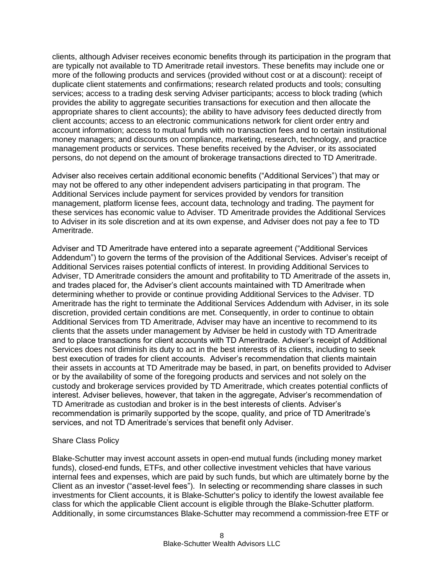clients, although Adviser receives economic benefits through its participation in the program that are typically not available to TD Ameritrade retail investors. These benefits may include one or more of the following products and services (provided without cost or at a discount): receipt of duplicate client statements and confirmations; research related products and tools; consulting services; access to a trading desk serving Adviser participants; access to block trading (which provides the ability to aggregate securities transactions for execution and then allocate the appropriate shares to client accounts); the ability to have advisory fees deducted directly from client accounts; access to an electronic communications network for client order entry and account information; access to mutual funds with no transaction fees and to certain institutional money managers; and discounts on compliance, marketing, research, technology, and practice management products or services. These benefits received by the Adviser, or its associated persons, do not depend on the amount of brokerage transactions directed to TD Ameritrade.

Adviser also receives certain additional economic benefits ("Additional Services") that may or may not be offered to any other independent advisers participating in that program. The Additional Services include payment for services provided by vendors for transition management, platform license fees, account data, technology and trading. The payment for these services has economic value to Adviser. TD Ameritrade provides the Additional Services to Adviser in its sole discretion and at its own expense, and Adviser does not pay a fee to TD Ameritrade.

Adviser and TD Ameritrade have entered into a separate agreement ("Additional Services Addendum") to govern the terms of the provision of the Additional Services. Adviser's receipt of Additional Services raises potential conflicts of interest. In providing Additional Services to Adviser, TD Ameritrade considers the amount and profitability to TD Ameritrade of the assets in, and trades placed for, the Adviser's client accounts maintained with TD Ameritrade when determining whether to provide or continue providing Additional Services to the Adviser. TD Ameritrade has the right to terminate the Additional Services Addendum with Adviser, in its sole discretion, provided certain conditions are met. Consequently, in order to continue to obtain Additional Services from TD Ameritrade, Adviser may have an incentive to recommend to its clients that the assets under management by Adviser be held in custody with TD Ameritrade and to place transactions for client accounts with TD Ameritrade. Adviser's receipt of Additional Services does not diminish its duty to act in the best interests of its clients, including to seek best execution of trades for client accounts. Adviser's recommendation that clients maintain their assets in accounts at TD Ameritrade may be based, in part, on benefits provided to Adviser or by the availability of some of the foregoing products and services and not solely on the custody and brokerage services provided by TD Ameritrade, which creates potential conflicts of interest. Adviser believes, however, that taken in the aggregate, Adviser's recommendation of TD Ameritrade as custodian and broker is in the best interests of clients. Adviser's recommendation is primarily supported by the scope, quality, and price of TD Ameritrade's services, and not TD Ameritrade's services that benefit only Adviser.

#### Share Class Policy

Blake-Schutter may invest account assets in open-end mutual funds (including money market funds), closed-end funds, ETFs, and other collective investment vehicles that have various internal fees and expenses, which are paid by such funds, but which are ultimately borne by the Client as an investor ("asset-level fees"). In selecting or recommending share classes in such investments for Client accounts, it is Blake-Schutter's policy to identify the lowest available fee class for which the applicable Client account is eligible through the Blake-Schutter platform. Additionally, in some circumstances Blake-Schutter may recommend a commission-free ETF or